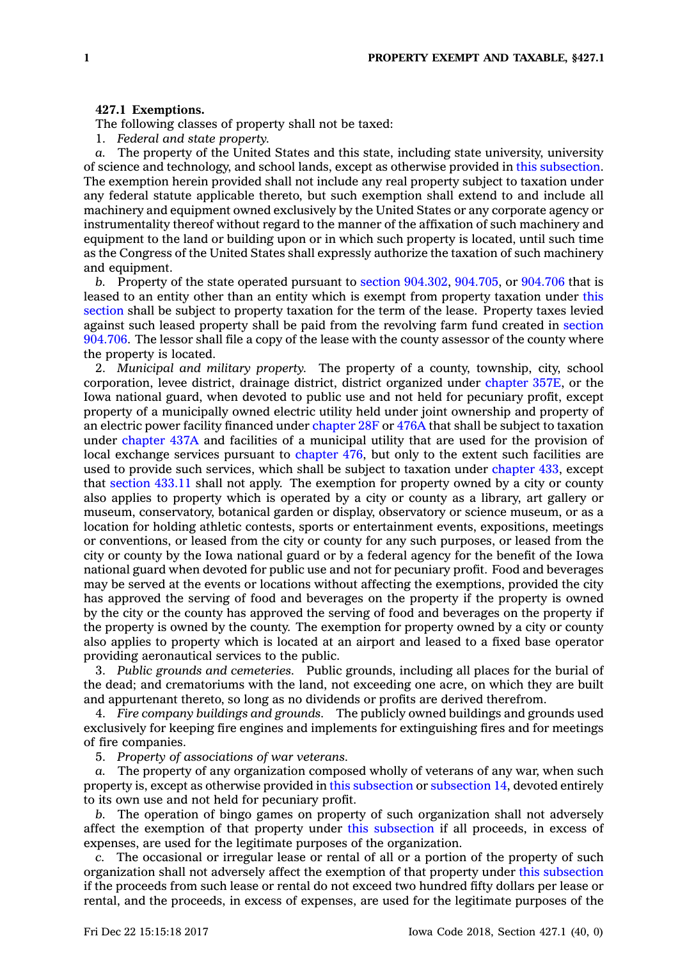## **427.1 Exemptions.**

The following classes of property shall not be taxed:

1. *Federal and state property.*

The property of the United States and this state, including state university, university of science and technology, and school lands, except as otherwise provided in this [subsection](https://www.legis.iowa.gov/docs/code/427.1.pdf). The exemption herein provided shall not include any real property subject to taxation under any federal statute applicable thereto, but such exemption shall extend to and include all machinery and equipment owned exclusively by the United States or any corporate agency or instrumentality thereof without regard to the manner of the affixation of such machinery and equipment to the land or building upon or in which such property is located, until such time as the Congress of the United States shall expressly authorize the taxation of such machinery and equipment.

*b.* Property of the state operated pursuant to section [904.302](https://www.legis.iowa.gov/docs/code/904.302.pdf), [904.705](https://www.legis.iowa.gov/docs/code/904.705.pdf), or [904.706](https://www.legis.iowa.gov/docs/code/904.706.pdf) that is leased to an entity other than an entity which is exempt from property taxation under [this](https://www.legis.iowa.gov/docs/code/427.1.pdf) [section](https://www.legis.iowa.gov/docs/code/427.1.pdf) shall be subject to property taxation for the term of the lease. Property taxes levied against such leased property shall be paid from the revolving farm fund created in [section](https://www.legis.iowa.gov/docs/code/904.706.pdf) [904.706](https://www.legis.iowa.gov/docs/code/904.706.pdf). The lessor shall file <sup>a</sup> copy of the lease with the county assessor of the county where the property is located.

2. *Municipal and military property.* The property of <sup>a</sup> county, township, city, school corporation, levee district, drainage district, district organized under [chapter](https://www.legis.iowa.gov/docs/code//357E.pdf) 357E, or the Iowa national guard, when devoted to public use and not held for pecuniary profit, except property of <sup>a</sup> municipally owned electric utility held under joint ownership and property of an electric power facility financed under [chapter](https://www.legis.iowa.gov/docs/code//28F.pdf) 28F or [476A](https://www.legis.iowa.gov/docs/code//476A.pdf) that shall be subject to taxation under [chapter](https://www.legis.iowa.gov/docs/code//437A.pdf) 437A and facilities of <sup>a</sup> municipal utility that are used for the provision of local exchange services pursuant to [chapter](https://www.legis.iowa.gov/docs/code//476.pdf) 476, but only to the extent such facilities are used to provide such services, which shall be subject to taxation under [chapter](https://www.legis.iowa.gov/docs/code//433.pdf) 433, except that [section](https://www.legis.iowa.gov/docs/code/433.11.pdf) 433.11 shall not apply. The exemption for property owned by <sup>a</sup> city or county also applies to property which is operated by <sup>a</sup> city or county as <sup>a</sup> library, art gallery or museum, conservatory, botanical garden or display, observatory or science museum, or as <sup>a</sup> location for holding athletic contests, sports or entertainment events, expositions, meetings or conventions, or leased from the city or county for any such purposes, or leased from the city or county by the Iowa national guard or by <sup>a</sup> federal agency for the benefit of the Iowa national guard when devoted for public use and not for pecuniary profit. Food and beverages may be served at the events or locations without affecting the exemptions, provided the city has approved the serving of food and beverages on the property if the property is owned by the city or the county has approved the serving of food and beverages on the property if the property is owned by the county. The exemption for property owned by <sup>a</sup> city or county also applies to property which is located at an airport and leased to <sup>a</sup> fixed base operator providing aeronautical services to the public.

3. *Public grounds and cemeteries.* Public grounds, including all places for the burial of the dead; and crematoriums with the land, not exceeding one acre, on which they are built and appurtenant thereto, so long as no dividends or profits are derived therefrom.

4. *Fire company buildings and grounds.* The publicly owned buildings and grounds used exclusively for keeping fire engines and implements for extinguishing fires and for meetings of fire companies.

5. *Property of associations of war veterans.*

*a.* The property of any organization composed wholly of veterans of any war, when such property is, except as otherwise provided in this [subsection](https://www.legis.iowa.gov/docs/code/427.1.pdf) or [subsection](https://www.legis.iowa.gov/docs/code/427.1.pdf) 14, devoted entirely to its own use and not held for pecuniary profit.

*b.* The operation of bingo games on property of such organization shall not adversely affect the exemption of that property under this [subsection](https://www.legis.iowa.gov/docs/code/427.1.pdf) if all proceeds, in excess of expenses, are used for the legitimate purposes of the organization.

*c.* The occasional or irregular lease or rental of all or <sup>a</sup> portion of the property of such organization shall not adversely affect the exemption of that property under this [subsection](https://www.legis.iowa.gov/docs/code/427.1.pdf) if the proceeds from such lease or rental do not exceed two hundred fifty dollars per lease or rental, and the proceeds, in excess of expenses, are used for the legitimate purposes of the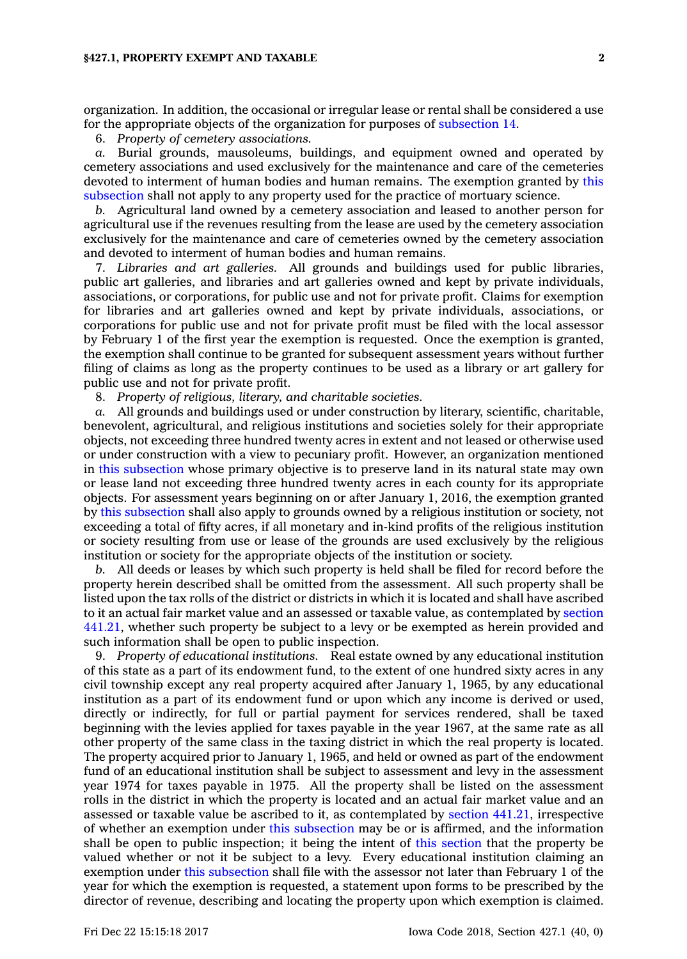## **§427.1, PROPERTY EXEMPT AND TAXABLE 2**

organization. In addition, the occasional or irregular lease or rental shall be considered <sup>a</sup> use for the appropriate objects of the organization for purposes of [subsection](https://www.legis.iowa.gov/docs/code/427.1.pdf) 14.

6. *Property of cemetery associations.*

*a.* Burial grounds, mausoleums, buildings, and equipment owned and operated by cemetery associations and used exclusively for the maintenance and care of the cemeteries devoted to interment of human bodies and human remains. The exemption granted by [this](https://www.legis.iowa.gov/docs/code/427.1.pdf) [subsection](https://www.legis.iowa.gov/docs/code/427.1.pdf) shall not apply to any property used for the practice of mortuary science.

*b.* Agricultural land owned by <sup>a</sup> cemetery association and leased to another person for agricultural use if the revenues resulting from the lease are used by the cemetery association exclusively for the maintenance and care of cemeteries owned by the cemetery association and devoted to interment of human bodies and human remains.

7. *Libraries and art galleries.* All grounds and buildings used for public libraries, public art galleries, and libraries and art galleries owned and kept by private individuals, associations, or corporations, for public use and not for private profit. Claims for exemption for libraries and art galleries owned and kept by private individuals, associations, or corporations for public use and not for private profit must be filed with the local assessor by February 1 of the first year the exemption is requested. Once the exemption is granted, the exemption shall continue to be granted for subsequent assessment years without further filing of claims as long as the property continues to be used as <sup>a</sup> library or art gallery for public use and not for private profit.

8. *Property of religious, literary, and charitable societies.*

*a.* All grounds and buildings used or under construction by literary, scientific, charitable, benevolent, agricultural, and religious institutions and societies solely for their appropriate objects, not exceeding three hundred twenty acres in extent and not leased or otherwise used or under construction with <sup>a</sup> view to pecuniary profit. However, an organization mentioned in this [subsection](https://www.legis.iowa.gov/docs/code/427.1.pdf) whose primary objective is to preserve land in its natural state may own or lease land not exceeding three hundred twenty acres in each county for its appropriate objects. For assessment years beginning on or after January 1, 2016, the exemption granted by this [subsection](https://www.legis.iowa.gov/docs/code/427.1.pdf) shall also apply to grounds owned by <sup>a</sup> religious institution or society, not exceeding <sup>a</sup> total of fifty acres, if all monetary and in-kind profits of the religious institution or society resulting from use or lease of the grounds are used exclusively by the religious institution or society for the appropriate objects of the institution or society.

*b.* All deeds or leases by which such property is held shall be filed for record before the property herein described shall be omitted from the assessment. All such property shall be listed upon the tax rolls of the district or districts in which it is located and shall have ascribed to it an actual fair market value and an assessed or taxable value, as contemplated by [section](https://www.legis.iowa.gov/docs/code/441.21.pdf) [441.21](https://www.legis.iowa.gov/docs/code/441.21.pdf), whether such property be subject to <sup>a</sup> levy or be exempted as herein provided and such information shall be open to public inspection.

9. *Property of educational institutions.* Real estate owned by any educational institution of this state as <sup>a</sup> part of its endowment fund, to the extent of one hundred sixty acres in any civil township except any real property acquired after January 1, 1965, by any educational institution as <sup>a</sup> part of its endowment fund or upon which any income is derived or used, directly or indirectly, for full or partial payment for services rendered, shall be taxed beginning with the levies applied for taxes payable in the year 1967, at the same rate as all other property of the same class in the taxing district in which the real property is located. The property acquired prior to January 1, 1965, and held or owned as part of the endowment fund of an educational institution shall be subject to assessment and levy in the assessment year 1974 for taxes payable in 1975. All the property shall be listed on the assessment rolls in the district in which the property is located and an actual fair market value and an assessed or taxable value be ascribed to it, as contemplated by section [441.21](https://www.legis.iowa.gov/docs/code/441.21.pdf), irrespective of whether an exemption under this [subsection](https://www.legis.iowa.gov/docs/code/427.1.pdf) may be or is affirmed, and the information shall be open to public inspection; it being the intent of this [section](https://www.legis.iowa.gov/docs/code/427.1.pdf) that the property be valued whether or not it be subject to <sup>a</sup> levy. Every educational institution claiming an exemption under this [subsection](https://www.legis.iowa.gov/docs/code/427.1.pdf) shall file with the assessor not later than February 1 of the year for which the exemption is requested, <sup>a</sup> statement upon forms to be prescribed by the director of revenue, describing and locating the property upon which exemption is claimed.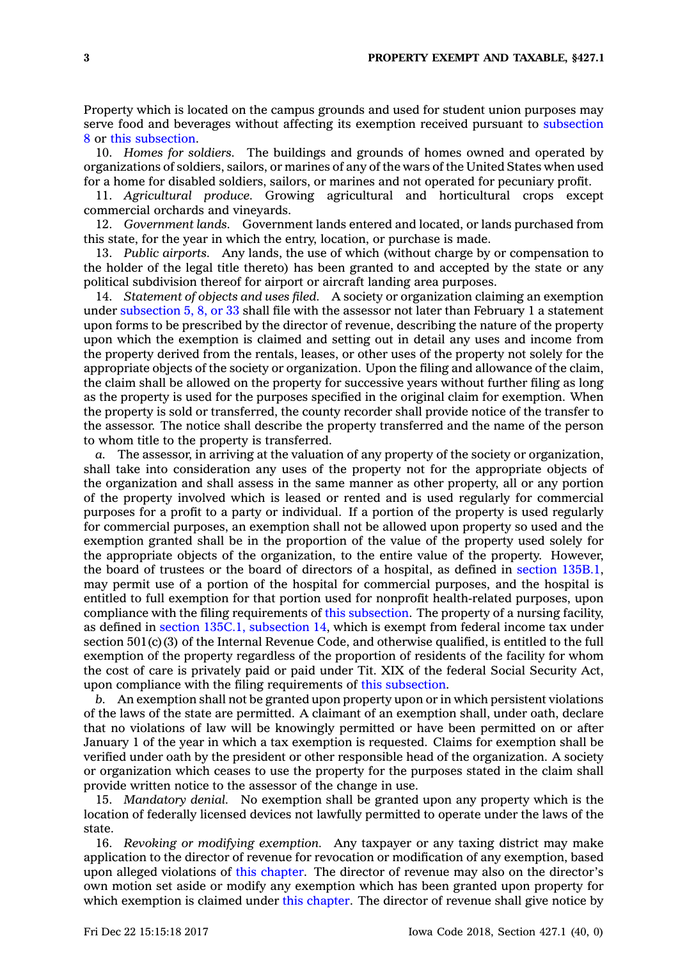Property which is located on the campus grounds and used for student union purposes may serve food and beverages without affecting its exemption received pursuant to [subsection](https://www.legis.iowa.gov/docs/code/427.1.pdf) [8](https://www.legis.iowa.gov/docs/code/427.1.pdf) or this [subsection](https://www.legis.iowa.gov/docs/code/427.1.pdf).

10. *Homes for soldiers.* The buildings and grounds of homes owned and operated by organizations of soldiers, sailors, or marines of any of the wars of the United States when used for <sup>a</sup> home for disabled soldiers, sailors, or marines and not operated for pecuniary profit.

11. *Agricultural produce.* Growing agricultural and horticultural crops except commercial orchards and vineyards.

12. *Government lands.* Government lands entered and located, or lands purchased from this state, for the year in which the entry, location, or purchase is made.

13. *Public airports.* Any lands, the use of which (without charge by or compensation to the holder of the legal title thereto) has been granted to and accepted by the state or any political subdivision thereof for airport or aircraft landing area purposes.

14. *Statement of objects and uses filed.* A society or organization claiming an exemption under [subsection](https://www.legis.iowa.gov/docs/code/427.1.pdf) 5, 8, or 33 shall file with the assessor not later than February 1 <sup>a</sup> statement upon forms to be prescribed by the director of revenue, describing the nature of the property upon which the exemption is claimed and setting out in detail any uses and income from the property derived from the rentals, leases, or other uses of the property not solely for the appropriate objects of the society or organization. Upon the filing and allowance of the claim, the claim shall be allowed on the property for successive years without further filing as long as the property is used for the purposes specified in the original claim for exemption. When the property is sold or transferred, the county recorder shall provide notice of the transfer to the assessor. The notice shall describe the property transferred and the name of the person to whom title to the property is transferred.

*a.* The assessor, in arriving at the valuation of any property of the society or organization, shall take into consideration any uses of the property not for the appropriate objects of the organization and shall assess in the same manner as other property, all or any portion of the property involved which is leased or rented and is used regularly for commercial purposes for <sup>a</sup> profit to <sup>a</sup> party or individual. If <sup>a</sup> portion of the property is used regularly for commercial purposes, an exemption shall not be allowed upon property so used and the exemption granted shall be in the proportion of the value of the property used solely for the appropriate objects of the organization, to the entire value of the property. However, the board of trustees or the board of directors of <sup>a</sup> hospital, as defined in section [135B.1](https://www.legis.iowa.gov/docs/code/135B.1.pdf), may permit use of <sup>a</sup> portion of the hospital for commercial purposes, and the hospital is entitled to full exemption for that portion used for nonprofit health-related purposes, upon compliance with the filing requirements of this [subsection](https://www.legis.iowa.gov/docs/code/427.1.pdf). The property of <sup>a</sup> nursing facility, as defined in section 135C.1, [subsection](https://www.legis.iowa.gov/docs/code/135C.1.pdf) 14, which is exempt from federal income tax under section  $501(c)$  (3) of the Internal Revenue Code, and otherwise qualified, is entitled to the full exemption of the property regardless of the proportion of residents of the facility for whom the cost of care is privately paid or paid under Tit. XIX of the federal Social Security Act, upon compliance with the filing requirements of this [subsection](https://www.legis.iowa.gov/docs/code/427.1.pdf).

*b.* An exemption shall not be granted upon property upon or in which persistent violations of the laws of the state are permitted. A claimant of an exemption shall, under oath, declare that no violations of law will be knowingly permitted or have been permitted on or after January 1 of the year in which <sup>a</sup> tax exemption is requested. Claims for exemption shall be verified under oath by the president or other responsible head of the organization. A society or organization which ceases to use the property for the purposes stated in the claim shall provide written notice to the assessor of the change in use.

15. *Mandatory denial.* No exemption shall be granted upon any property which is the location of federally licensed devices not lawfully permitted to operate under the laws of the state.

16. *Revoking or modifying exemption.* Any taxpayer or any taxing district may make application to the director of revenue for revocation or modification of any exemption, based upon alleged violations of this [chapter](https://www.legis.iowa.gov/docs/code//427.pdf). The director of revenue may also on the director's own motion set aside or modify any exemption which has been granted upon property for which exemption is claimed under this [chapter](https://www.legis.iowa.gov/docs/code//427.pdf). The director of revenue shall give notice by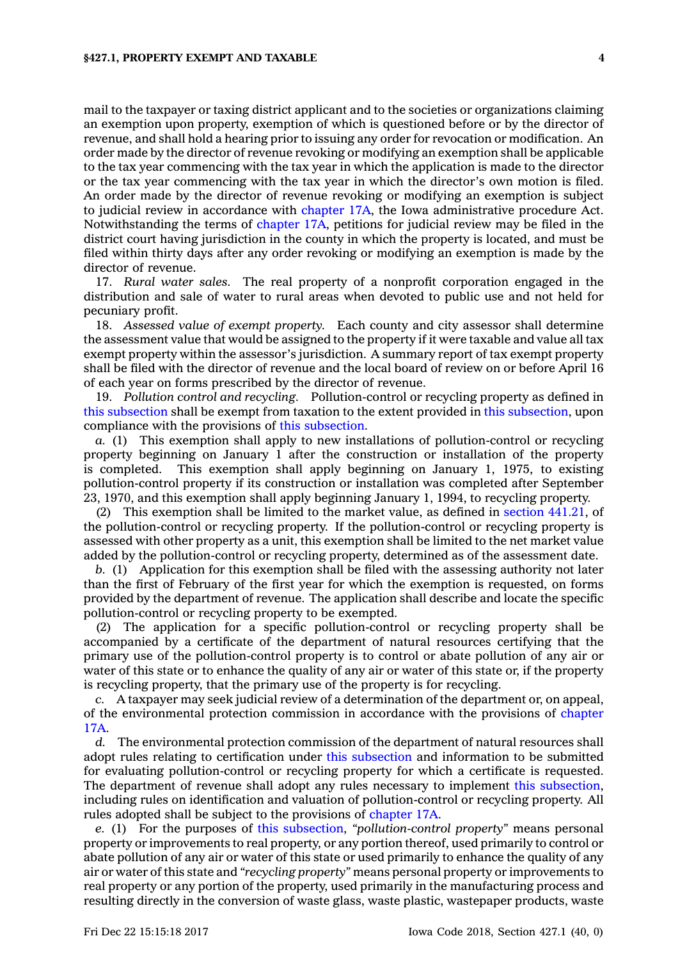mail to the taxpayer or taxing district applicant and to the societies or organizations claiming an exemption upon property, exemption of which is questioned before or by the director of revenue, and shall hold <sup>a</sup> hearing prior to issuing any order for revocation or modification. An order made by the director of revenue revoking or modifying an exemption shall be applicable to the tax year commencing with the tax year in which the application is made to the director or the tax year commencing with the tax year in which the director's own motion is filed. An order made by the director of revenue revoking or modifying an exemption is subject to judicial review in accordance with [chapter](https://www.legis.iowa.gov/docs/code//17A.pdf) 17A, the Iowa administrative procedure Act. Notwithstanding the terms of [chapter](https://www.legis.iowa.gov/docs/code//17A.pdf) 17A, petitions for judicial review may be filed in the district court having jurisdiction in the county in which the property is located, and must be filed within thirty days after any order revoking or modifying an exemption is made by the director of revenue.

17. *Rural water sales.* The real property of <sup>a</sup> nonprofit corporation engaged in the distribution and sale of water to rural areas when devoted to public use and not held for pecuniary profit.

18. *Assessed value of exempt property.* Each county and city assessor shall determine the assessment value that would be assigned to the property if it were taxable and value all tax exempt property within the assessor's jurisdiction. A summary report of tax exempt property shall be filed with the director of revenue and the local board of review on or before April 16 of each year on forms prescribed by the director of revenue.

19. *Pollution control and recycling.* Pollution-control or recycling property as defined in this [subsection](https://www.legis.iowa.gov/docs/code/427.1.pdf) shall be exempt from taxation to the extent provided in this [subsection](https://www.legis.iowa.gov/docs/code/427.1.pdf), upon compliance with the provisions of this [subsection](https://www.legis.iowa.gov/docs/code/427.1.pdf).

*a.* (1) This exemption shall apply to new installations of pollution-control or recycling property beginning on January 1 after the construction or installation of the property is completed. This exemption shall apply beginning on January 1, 1975, to existing pollution-control property if its construction or installation was completed after September 23, 1970, and this exemption shall apply beginning January 1, 1994, to recycling property.

(2) This exemption shall be limited to the market value, as defined in section [441.21](https://www.legis.iowa.gov/docs/code/441.21.pdf), of the pollution-control or recycling property. If the pollution-control or recycling property is assessed with other property as <sup>a</sup> unit, this exemption shall be limited to the net market value added by the pollution-control or recycling property, determined as of the assessment date.

*b.* (1) Application for this exemption shall be filed with the assessing authority not later than the first of February of the first year for which the exemption is requested, on forms provided by the department of revenue. The application shall describe and locate the specific pollution-control or recycling property to be exempted.

(2) The application for <sup>a</sup> specific pollution-control or recycling property shall be accompanied by <sup>a</sup> certificate of the department of natural resources certifying that the primary use of the pollution-control property is to control or abate pollution of any air or water of this state or to enhance the quality of any air or water of this state or, if the property is recycling property, that the primary use of the property is for recycling.

*c.* A taxpayer may seek judicial review of <sup>a</sup> determination of the department or, on appeal, of the environmental protection commission in accordance with the provisions of [chapter](https://www.legis.iowa.gov/docs/code//17A.pdf) [17A](https://www.legis.iowa.gov/docs/code//17A.pdf).

*d.* The environmental protection commission of the department of natural resources shall adopt rules relating to certification under this [subsection](https://www.legis.iowa.gov/docs/code/427.1.pdf) and information to be submitted for evaluating pollution-control or recycling property for which <sup>a</sup> certificate is requested. The department of revenue shall adopt any rules necessary to implement this [subsection](https://www.legis.iowa.gov/docs/code/427.1.pdf), including rules on identification and valuation of pollution-control or recycling property. All rules adopted shall be subject to the provisions of [chapter](https://www.legis.iowa.gov/docs/code//17A.pdf) 17A.

*e.* (1) For the purposes of this [subsection](https://www.legis.iowa.gov/docs/code/427.1.pdf), *"pollution-control property"* means personal property or improvements to real property, or any portion thereof, used primarily to control or abate pollution of any air or water of this state or used primarily to enhance the quality of any air or water of this state and *"recycling property"* means personal property or improvements to real property or any portion of the property, used primarily in the manufacturing process and resulting directly in the conversion of waste glass, waste plastic, wastepaper products, waste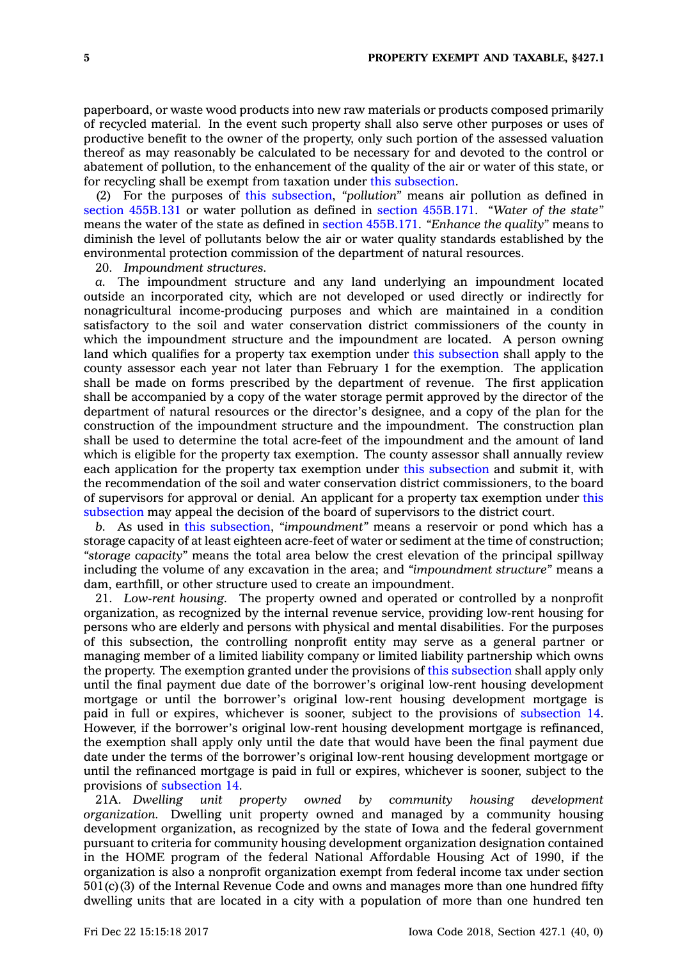paperboard, or waste wood products into new raw materials or products composed primarily of recycled material. In the event such property shall also serve other purposes or uses of productive benefit to the owner of the property, only such portion of the assessed valuation thereof as may reasonably be calculated to be necessary for and devoted to the control or abatement of pollution, to the enhancement of the quality of the air or water of this state, or for recycling shall be exempt from taxation under this [subsection](https://www.legis.iowa.gov/docs/code/427.1.pdf).

(2) For the purposes of this [subsection](https://www.legis.iowa.gov/docs/code/427.1.pdf), *"pollution"* means air pollution as defined in section [455B.131](https://www.legis.iowa.gov/docs/code/455B.131.pdf) or water pollution as defined in section [455B.171](https://www.legis.iowa.gov/docs/code/455B.171.pdf). *"Water of the state"* means the water of the state as defined in section [455B.171](https://www.legis.iowa.gov/docs/code/455B.171.pdf). *"Enhance the quality"* means to diminish the level of pollutants below the air or water quality standards established by the environmental protection commission of the department of natural resources.

20. *Impoundment structures.*

*a.* The impoundment structure and any land underlying an impoundment located outside an incorporated city, which are not developed or used directly or indirectly for nonagricultural income-producing purposes and which are maintained in <sup>a</sup> condition satisfactory to the soil and water conservation district commissioners of the county in which the impoundment structure and the impoundment are located. A person owning land which qualifies for a property tax exemption under this [subsection](https://www.legis.iowa.gov/docs/code/427.1.pdf) shall apply to the county assessor each year not later than February 1 for the exemption. The application shall be made on forms prescribed by the department of revenue. The first application shall be accompanied by <sup>a</sup> copy of the water storage permit approved by the director of the department of natural resources or the director's designee, and <sup>a</sup> copy of the plan for the construction of the impoundment structure and the impoundment. The construction plan shall be used to determine the total acre-feet of the impoundment and the amount of land which is eligible for the property tax exemption. The county assessor shall annually review each application for the property tax exemption under this [subsection](https://www.legis.iowa.gov/docs/code/427.1.pdf) and submit it, with the recommendation of the soil and water conservation district commissioners, to the board of supervisors for approval or denial. An applicant for <sup>a</sup> property tax exemption under [this](https://www.legis.iowa.gov/docs/code/427.1.pdf) [subsection](https://www.legis.iowa.gov/docs/code/427.1.pdf) may appeal the decision of the board of supervisors to the district court.

*b.* As used in this [subsection](https://www.legis.iowa.gov/docs/code/427.1.pdf), *"impoundment"* means <sup>a</sup> reservoir or pond which has <sup>a</sup> storage capacity of at least eighteen acre-feet of water or sediment at the time of construction; *"storage capacity"* means the total area below the crest elevation of the principal spillway including the volume of any excavation in the area; and *"impoundment structure"* means <sup>a</sup> dam, earthfill, or other structure used to create an impoundment.

21. *Low-rent housing.* The property owned and operated or controlled by <sup>a</sup> nonprofit organization, as recognized by the internal revenue service, providing low-rent housing for persons who are elderly and persons with physical and mental disabilities. For the purposes of this subsection, the controlling nonprofit entity may serve as <sup>a</sup> general partner or managing member of <sup>a</sup> limited liability company or limited liability partnership which owns the property. The exemption granted under the provisions of this [subsection](https://www.legis.iowa.gov/docs/code/427.1.pdf) shall apply only until the final payment due date of the borrower's original low-rent housing development mortgage or until the borrower's original low-rent housing development mortgage is paid in full or expires, whichever is sooner, subject to the provisions of [subsection](https://www.legis.iowa.gov/docs/code/427.1.pdf) 14. However, if the borrower's original low-rent housing development mortgage is refinanced, the exemption shall apply only until the date that would have been the final payment due date under the terms of the borrower's original low-rent housing development mortgage or until the refinanced mortgage is paid in full or expires, whichever is sooner, subject to the provisions of [subsection](https://www.legis.iowa.gov/docs/code/427.1.pdf) 14.

21A. *Dwelling unit property owned by community housing development organization.* Dwelling unit property owned and managed by <sup>a</sup> community housing development organization, as recognized by the state of Iowa and the federal government pursuant to criteria for community housing development organization designation contained in the HOME program of the federal National Affordable Housing Act of 1990, if the organization is also <sup>a</sup> nonprofit organization exempt from federal income tax under section 501(c)(3) of the Internal Revenue Code and owns and manages more than one hundred fifty dwelling units that are located in <sup>a</sup> city with <sup>a</sup> population of more than one hundred ten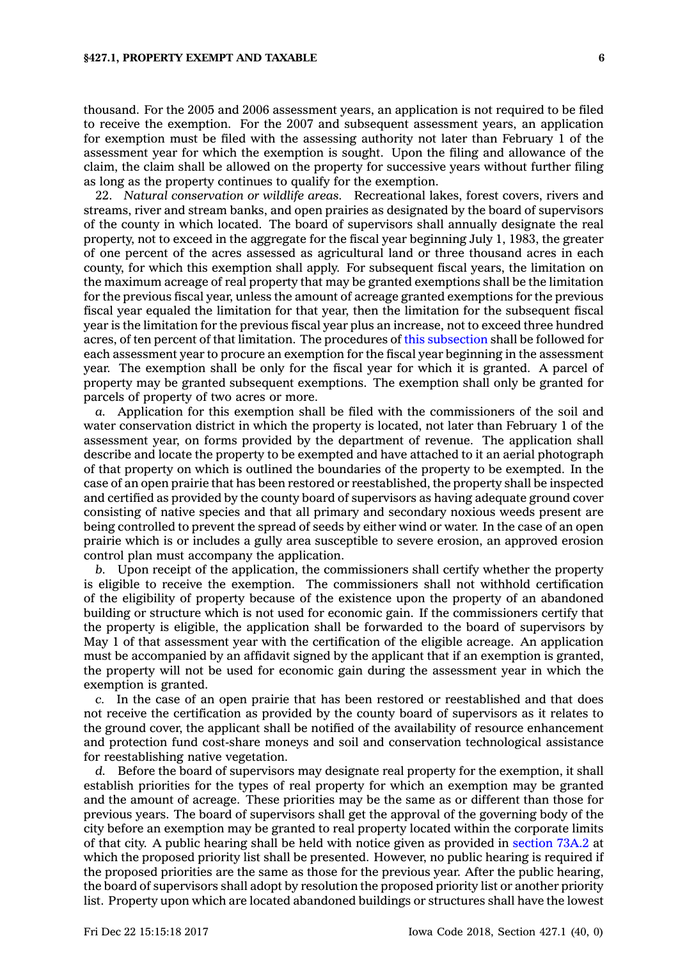## **§427.1, PROPERTY EXEMPT AND TAXABLE 6**

thousand. For the 2005 and 2006 assessment years, an application is not required to be filed to receive the exemption. For the 2007 and subsequent assessment years, an application for exemption must be filed with the assessing authority not later than February 1 of the assessment year for which the exemption is sought. Upon the filing and allowance of the claim, the claim shall be allowed on the property for successive years without further filing as long as the property continues to qualify for the exemption.

22. *Natural conservation or wildlife areas.* Recreational lakes, forest covers, rivers and streams, river and stream banks, and open prairies as designated by the board of supervisors of the county in which located. The board of supervisors shall annually designate the real property, not to exceed in the aggregate for the fiscal year beginning July 1, 1983, the greater of one percent of the acres assessed as agricultural land or three thousand acres in each county, for which this exemption shall apply. For subsequent fiscal years, the limitation on the maximum acreage of real property that may be granted exemptions shall be the limitation for the previous fiscal year, unless the amount of acreage granted exemptions for the previous fiscal year equaled the limitation for that year, then the limitation for the subsequent fiscal year is the limitation for the previous fiscal year plus an increase, not to exceed three hundred acres, of ten percent of that limitation. The procedures of this [subsection](https://www.legis.iowa.gov/docs/code/427.1.pdf) shall be followed for each assessment year to procure an exemption for the fiscal year beginning in the assessment year. The exemption shall be only for the fiscal year for which it is granted. A parcel of property may be granted subsequent exemptions. The exemption shall only be granted for parcels of property of two acres or more.

*a.* Application for this exemption shall be filed with the commissioners of the soil and water conservation district in which the property is located, not later than February 1 of the assessment year, on forms provided by the department of revenue. The application shall describe and locate the property to be exempted and have attached to it an aerial photograph of that property on which is outlined the boundaries of the property to be exempted. In the case of an open prairie that has been restored or reestablished, the property shall be inspected and certified as provided by the county board of supervisors as having adequate ground cover consisting of native species and that all primary and secondary noxious weeds present are being controlled to prevent the spread of seeds by either wind or water. In the case of an open prairie which is or includes <sup>a</sup> gully area susceptible to severe erosion, an approved erosion control plan must accompany the application.

*b.* Upon receipt of the application, the commissioners shall certify whether the property is eligible to receive the exemption. The commissioners shall not withhold certification of the eligibility of property because of the existence upon the property of an abandoned building or structure which is not used for economic gain. If the commissioners certify that the property is eligible, the application shall be forwarded to the board of supervisors by May 1 of that assessment year with the certification of the eligible acreage. An application must be accompanied by an affidavit signed by the applicant that if an exemption is granted, the property will not be used for economic gain during the assessment year in which the exemption is granted.

*c.* In the case of an open prairie that has been restored or reestablished and that does not receive the certification as provided by the county board of supervisors as it relates to the ground cover, the applicant shall be notified of the availability of resource enhancement and protection fund cost-share moneys and soil and conservation technological assistance for reestablishing native vegetation.

*d.* Before the board of supervisors may designate real property for the exemption, it shall establish priorities for the types of real property for which an exemption may be granted and the amount of acreage. These priorities may be the same as or different than those for previous years. The board of supervisors shall get the approval of the governing body of the city before an exemption may be granted to real property located within the corporate limits of that city. A public hearing shall be held with notice given as provided in [section](https://www.legis.iowa.gov/docs/code/73A.2.pdf) 73A.2 at which the proposed priority list shall be presented. However, no public hearing is required if the proposed priorities are the same as those for the previous year. After the public hearing, the board of supervisors shall adopt by resolution the proposed priority list or another priority list. Property upon which are located abandoned buildings or structures shall have the lowest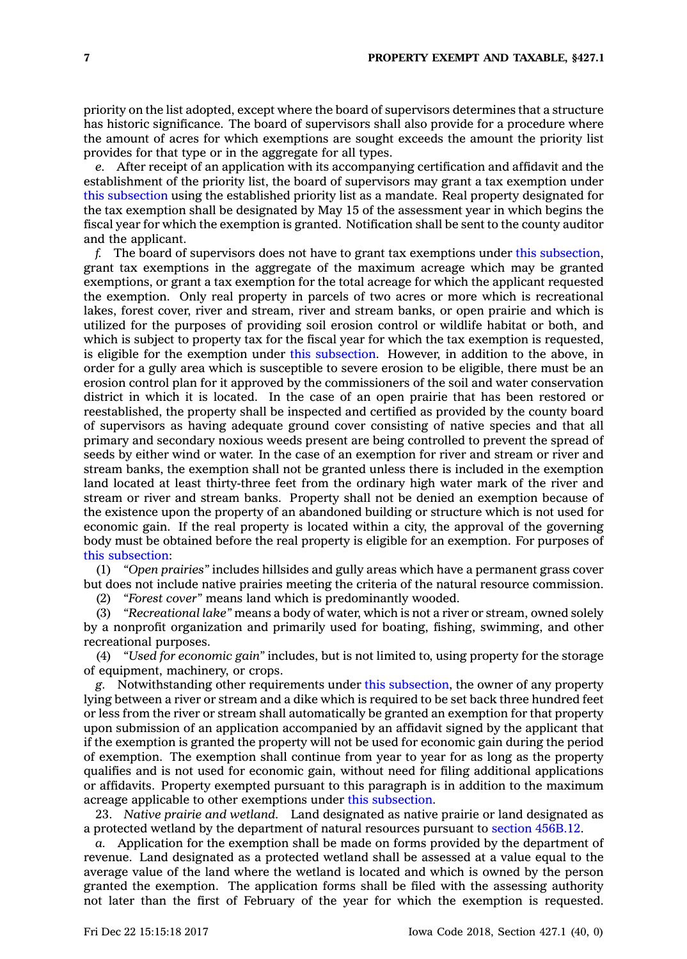priority on the list adopted, except where the board of supervisors determines that <sup>a</sup> structure has historic significance. The board of supervisors shall also provide for <sup>a</sup> procedure where the amount of acres for which exemptions are sought exceeds the amount the priority list provides for that type or in the aggregate for all types.

*e.* After receipt of an application with its accompanying certification and affidavit and the establishment of the priority list, the board of supervisors may grant <sup>a</sup> tax exemption under this [subsection](https://www.legis.iowa.gov/docs/code/427.1.pdf) using the established priority list as <sup>a</sup> mandate. Real property designated for the tax exemption shall be designated by May 15 of the assessment year in which begins the fiscal year for which the exemption is granted. Notification shall be sent to the county auditor and the applicant.

*f.* The board of supervisors does not have to grant tax exemptions under this [subsection](https://www.legis.iowa.gov/docs/code/427.1.pdf), grant tax exemptions in the aggregate of the maximum acreage which may be granted exemptions, or grant <sup>a</sup> tax exemption for the total acreage for which the applicant requested the exemption. Only real property in parcels of two acres or more which is recreational lakes, forest cover, river and stream, river and stream banks, or open prairie and which is utilized for the purposes of providing soil erosion control or wildlife habitat or both, and which is subject to property tax for the fiscal year for which the tax exemption is requested, is eligible for the exemption under this [subsection](https://www.legis.iowa.gov/docs/code/427.1.pdf). However, in addition to the above, in order for <sup>a</sup> gully area which is susceptible to severe erosion to be eligible, there must be an erosion control plan for it approved by the commissioners of the soil and water conservation district in which it is located. In the case of an open prairie that has been restored or reestablished, the property shall be inspected and certified as provided by the county board of supervisors as having adequate ground cover consisting of native species and that all primary and secondary noxious weeds present are being controlled to prevent the spread of seeds by either wind or water. In the case of an exemption for river and stream or river and stream banks, the exemption shall not be granted unless there is included in the exemption land located at least thirty-three feet from the ordinary high water mark of the river and stream or river and stream banks. Property shall not be denied an exemption because of the existence upon the property of an abandoned building or structure which is not used for economic gain. If the real property is located within <sup>a</sup> city, the approval of the governing body must be obtained before the real property is eligible for an exemption. For purposes of this [subsection](https://www.legis.iowa.gov/docs/code/427.1.pdf):

(1) *"Open prairies"* includes hillsides and gully areas which have <sup>a</sup> permanent grass cover but does not include native prairies meeting the criteria of the natural resource commission.

(2) *"Forest cover"* means land which is predominantly wooded.

(3) *"Recreational lake"* means <sup>a</sup> body of water, which is not <sup>a</sup> river or stream, owned solely by <sup>a</sup> nonprofit organization and primarily used for boating, fishing, swimming, and other recreational purposes.

(4) *"Used for economic gain"* includes, but is not limited to, using property for the storage of equipment, machinery, or crops.

*g.* Notwithstanding other requirements under this [subsection](https://www.legis.iowa.gov/docs/code/427.1.pdf), the owner of any property lying between <sup>a</sup> river or stream and <sup>a</sup> dike which is required to be set back three hundred feet or less from the river or stream shall automatically be granted an exemption for that property upon submission of an application accompanied by an affidavit signed by the applicant that if the exemption is granted the property will not be used for economic gain during the period of exemption. The exemption shall continue from year to year for as long as the property qualifies and is not used for economic gain, without need for filing additional applications or affidavits. Property exempted pursuant to this paragraph is in addition to the maximum acreage applicable to other exemptions under this [subsection](https://www.legis.iowa.gov/docs/code/427.1.pdf).

23. *Native prairie and wetland.* Land designated as native prairie or land designated as <sup>a</sup> protected wetland by the department of natural resources pursuant to section [456B.12](https://www.legis.iowa.gov/docs/code/456B.12.pdf).

*a.* Application for the exemption shall be made on forms provided by the department of revenue. Land designated as <sup>a</sup> protected wetland shall be assessed at <sup>a</sup> value equal to the average value of the land where the wetland is located and which is owned by the person granted the exemption. The application forms shall be filed with the assessing authority not later than the first of February of the year for which the exemption is requested.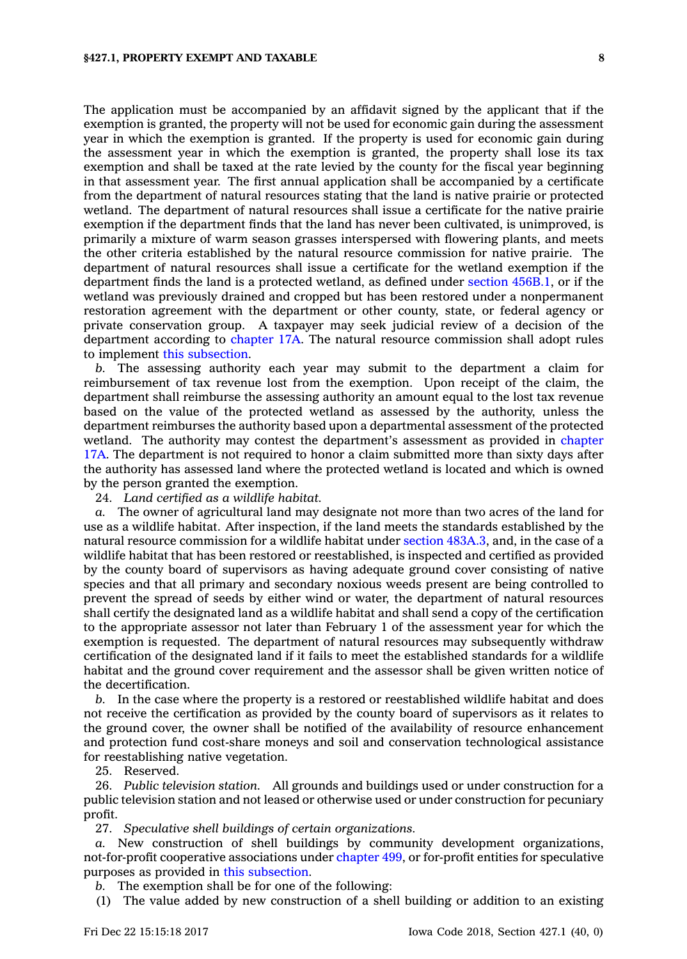The application must be accompanied by an affidavit signed by the applicant that if the exemption is granted, the property will not be used for economic gain during the assessment year in which the exemption is granted. If the property is used for economic gain during the assessment year in which the exemption is granted, the property shall lose its tax exemption and shall be taxed at the rate levied by the county for the fiscal year beginning in that assessment year. The first annual application shall be accompanied by <sup>a</sup> certificate from the department of natural resources stating that the land is native prairie or protected wetland. The department of natural resources shall issue <sup>a</sup> certificate for the native prairie exemption if the department finds that the land has never been cultivated, is unimproved, is primarily <sup>a</sup> mixture of warm season grasses interspersed with flowering plants, and meets the other criteria established by the natural resource commission for native prairie. The department of natural resources shall issue <sup>a</sup> certificate for the wetland exemption if the department finds the land is <sup>a</sup> protected wetland, as defined under section [456B.1](https://www.legis.iowa.gov/docs/code/456B.1.pdf), or if the wetland was previously drained and cropped but has been restored under <sup>a</sup> nonpermanent restoration agreement with the department or other county, state, or federal agency or private conservation group. A taxpayer may seek judicial review of <sup>a</sup> decision of the department according to [chapter](https://www.legis.iowa.gov/docs/code//17A.pdf) 17A. The natural resource commission shall adopt rules to implement this [subsection](https://www.legis.iowa.gov/docs/code/427.1.pdf).

*b.* The assessing authority each year may submit to the department <sup>a</sup> claim for reimbursement of tax revenue lost from the exemption. Upon receipt of the claim, the department shall reimburse the assessing authority an amount equal to the lost tax revenue based on the value of the protected wetland as assessed by the authority, unless the department reimburses the authority based upon <sup>a</sup> departmental assessment of the protected wetland. The authority may contest the department's assessment as provided in [chapter](https://www.legis.iowa.gov/docs/code//17A.pdf) [17A](https://www.legis.iowa.gov/docs/code//17A.pdf). The department is not required to honor <sup>a</sup> claim submitted more than sixty days after the authority has assessed land where the protected wetland is located and which is owned by the person granted the exemption.

24. *Land certified as <sup>a</sup> wildlife habitat.*

*a.* The owner of agricultural land may designate not more than two acres of the land for use as <sup>a</sup> wildlife habitat. After inspection, if the land meets the standards established by the natural resource commission for <sup>a</sup> wildlife habitat under section [483A.3](https://www.legis.iowa.gov/docs/code/483A.3.pdf), and, in the case of <sup>a</sup> wildlife habitat that has been restored or reestablished, is inspected and certified as provided by the county board of supervisors as having adequate ground cover consisting of native species and that all primary and secondary noxious weeds present are being controlled to prevent the spread of seeds by either wind or water, the department of natural resources shall certify the designated land as <sup>a</sup> wildlife habitat and shall send <sup>a</sup> copy of the certification to the appropriate assessor not later than February 1 of the assessment year for which the exemption is requested. The department of natural resources may subsequently withdraw certification of the designated land if it fails to meet the established standards for <sup>a</sup> wildlife habitat and the ground cover requirement and the assessor shall be given written notice of the decertification.

*b.* In the case where the property is <sup>a</sup> restored or reestablished wildlife habitat and does not receive the certification as provided by the county board of supervisors as it relates to the ground cover, the owner shall be notified of the availability of resource enhancement and protection fund cost-share moneys and soil and conservation technological assistance for reestablishing native vegetation.

25. Reserved.

26. *Public television station.* All grounds and buildings used or under construction for <sup>a</sup> public television station and not leased or otherwise used or under construction for pecuniary profit.

27. *Speculative shell buildings of certain organizations.*

*a.* New construction of shell buildings by community development organizations, not-for-profit cooperative associations under [chapter](https://www.legis.iowa.gov/docs/code//499.pdf) 499, or for-profit entities for speculative purposes as provided in this [subsection](https://www.legis.iowa.gov/docs/code/427.1.pdf).

*b.* The exemption shall be for one of the following:

(1) The value added by new construction of <sup>a</sup> shell building or addition to an existing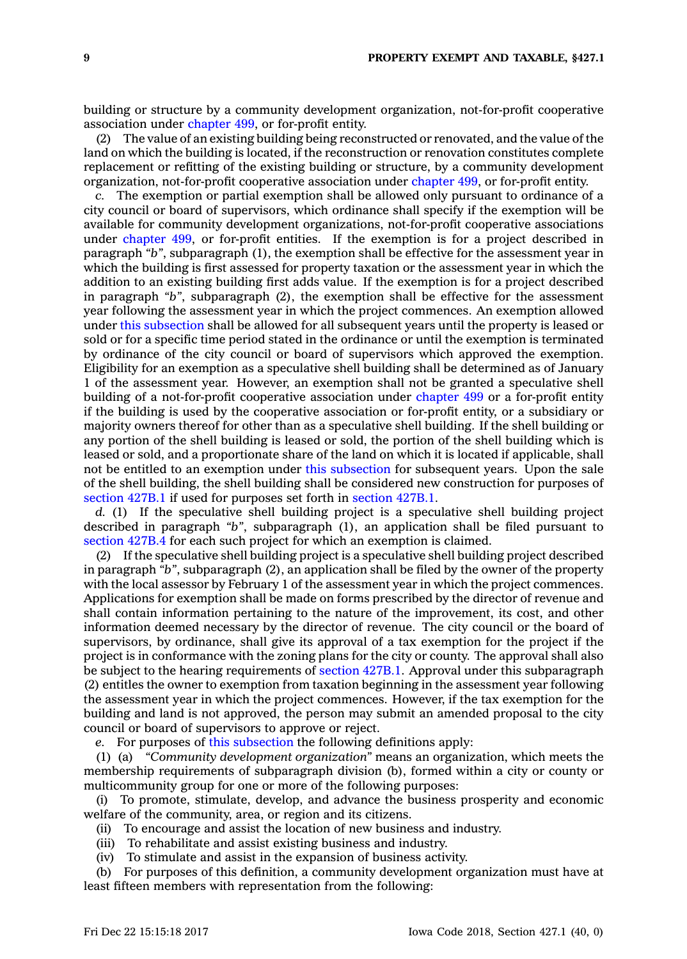building or structure by <sup>a</sup> community development organization, not-for-profit cooperative association under [chapter](https://www.legis.iowa.gov/docs/code//499.pdf) 499, or for-profit entity.

(2) The value of an existing building being reconstructed or renovated, and the value of the land on which the building is located, if the reconstruction or renovation constitutes complete replacement or refitting of the existing building or structure, by <sup>a</sup> community development organization, not-for-profit cooperative association under [chapter](https://www.legis.iowa.gov/docs/code//499.pdf) 499, or for-profit entity.

*c.* The exemption or partial exemption shall be allowed only pursuant to ordinance of <sup>a</sup> city council or board of supervisors, which ordinance shall specify if the exemption will be available for community development organizations, not-for-profit cooperative associations under [chapter](https://www.legis.iowa.gov/docs/code//499.pdf) 499, or for-profit entities. If the exemption is for <sup>a</sup> project described in paragraph *"b"*, subparagraph (1), the exemption shall be effective for the assessment year in which the building is first assessed for property taxation or the assessment year in which the addition to an existing building first adds value. If the exemption is for <sup>a</sup> project described in paragraph *"b"*, subparagraph (2), the exemption shall be effective for the assessment year following the assessment year in which the project commences. An exemption allowed under this [subsection](https://www.legis.iowa.gov/docs/code/427.1.pdf) shall be allowed for all subsequent years until the property is leased or sold or for <sup>a</sup> specific time period stated in the ordinance or until the exemption is terminated by ordinance of the city council or board of supervisors which approved the exemption. Eligibility for an exemption as <sup>a</sup> speculative shell building shall be determined as of January 1 of the assessment year. However, an exemption shall not be granted <sup>a</sup> speculative shell building of <sup>a</sup> not-for-profit cooperative association under [chapter](https://www.legis.iowa.gov/docs/code//499.pdf) 499 or <sup>a</sup> for-profit entity if the building is used by the cooperative association or for-profit entity, or <sup>a</sup> subsidiary or majority owners thereof for other than as <sup>a</sup> speculative shell building. If the shell building or any portion of the shell building is leased or sold, the portion of the shell building which is leased or sold, and <sup>a</sup> proportionate share of the land on which it is located if applicable, shall not be entitled to an exemption under this [subsection](https://www.legis.iowa.gov/docs/code/427.1.pdf) for subsequent years. Upon the sale of the shell building, the shell building shall be considered new construction for purposes of [section](https://www.legis.iowa.gov/docs/code/427B.1.pdf) 427B.1 if used for purposes set forth in [section](https://www.legis.iowa.gov/docs/code/427B.1.pdf) 427B.1.

*d.* (1) If the speculative shell building project is <sup>a</sup> speculative shell building project described in paragraph *"b"*, subparagraph (1), an application shall be filed pursuant to [section](https://www.legis.iowa.gov/docs/code/427B.4.pdf) 427B.4 for each such project for which an exemption is claimed.

(2) If the speculative shell building project is <sup>a</sup> speculative shell building project described in paragraph *"b"*, subparagraph (2), an application shall be filed by the owner of the property with the local assessor by February 1 of the assessment year in which the project commences. Applications for exemption shall be made on forms prescribed by the director of revenue and shall contain information pertaining to the nature of the improvement, its cost, and other information deemed necessary by the director of revenue. The city council or the board of supervisors, by ordinance, shall give its approval of <sup>a</sup> tax exemption for the project if the project is in conformance with the zoning plans for the city or county. The approval shall also be subject to the hearing requirements of [section](https://www.legis.iowa.gov/docs/code/427B.1.pdf) 427B.1. Approval under this subparagraph (2) entitles the owner to exemption from taxation beginning in the assessment year following the assessment year in which the project commences. However, if the tax exemption for the building and land is not approved, the person may submit an amended proposal to the city council or board of supervisors to approve or reject.

*e.* For purposes of this [subsection](https://www.legis.iowa.gov/docs/code/427.1.pdf) the following definitions apply:

(1) (a) *"Community development organization"* means an organization, which meets the membership requirements of subparagraph division (b), formed within <sup>a</sup> city or county or multicommunity group for one or more of the following purposes:

(i) To promote, stimulate, develop, and advance the business prosperity and economic welfare of the community, area, or region and its citizens.

(ii) To encourage and assist the location of new business and industry.

(iii) To rehabilitate and assist existing business and industry.

(iv) To stimulate and assist in the expansion of business activity.

(b) For purposes of this definition, <sup>a</sup> community development organization must have at least fifteen members with representation from the following: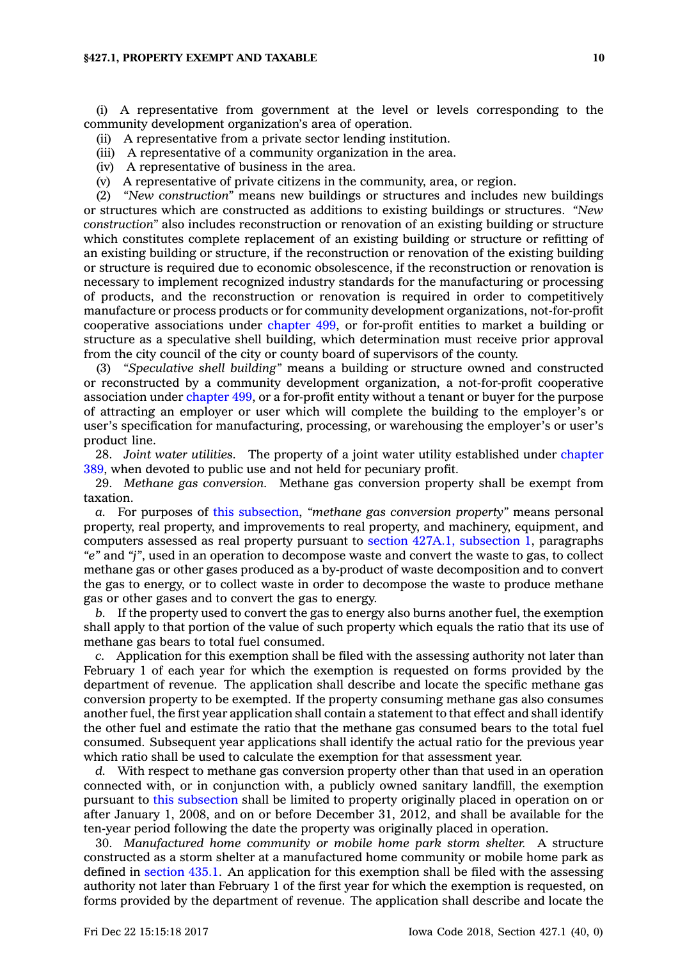## **§427.1, PROPERTY EXEMPT AND TAXABLE 10**

(i) A representative from government at the level or levels corresponding to the community development organization's area of operation.

(ii) A representative from <sup>a</sup> private sector lending institution.

(iii) A representative of <sup>a</sup> community organization in the area.

(iv) A representative of business in the area.

(v) A representative of private citizens in the community, area, or region.

(2) *"New construction"* means new buildings or structures and includes new buildings or structures which are constructed as additions to existing buildings or structures. *"New construction"* also includes reconstruction or renovation of an existing building or structure which constitutes complete replacement of an existing building or structure or refitting of an existing building or structure, if the reconstruction or renovation of the existing building or structure is required due to economic obsolescence, if the reconstruction or renovation is necessary to implement recognized industry standards for the manufacturing or processing of products, and the reconstruction or renovation is required in order to competitively manufacture or process products or for community development organizations, not-for-profit cooperative associations under [chapter](https://www.legis.iowa.gov/docs/code//499.pdf) 499, or for-profit entities to market <sup>a</sup> building or structure as <sup>a</sup> speculative shell building, which determination must receive prior approval from the city council of the city or county board of supervisors of the county.

(3) *"Speculative shell building"* means <sup>a</sup> building or structure owned and constructed or reconstructed by <sup>a</sup> community development organization, <sup>a</sup> not-for-profit cooperative association under [chapter](https://www.legis.iowa.gov/docs/code//499.pdf) 499, or <sup>a</sup> for-profit entity without <sup>a</sup> tenant or buyer for the purpose of attracting an employer or user which will complete the building to the employer's or user's specification for manufacturing, processing, or warehousing the employer's or user's product line.

28. *Joint water utilities.* The property of <sup>a</sup> joint water utility established under [chapter](https://www.legis.iowa.gov/docs/code//389.pdf) [389](https://www.legis.iowa.gov/docs/code//389.pdf), when devoted to public use and not held for pecuniary profit.

29. *Methane gas conversion.* Methane gas conversion property shall be exempt from taxation.

*a.* For purposes of this [subsection](https://www.legis.iowa.gov/docs/code/427.1.pdf), *"methane gas conversion property"* means personal property, real property, and improvements to real property, and machinery, equipment, and computers assessed as real property pursuant to section 427A.1, [subsection](https://www.legis.iowa.gov/docs/code/427A.1.pdf) 1, paragraphs *"e"* and *"j"*, used in an operation to decompose waste and convert the waste to gas, to collect methane gas or other gases produced as <sup>a</sup> by-product of waste decomposition and to convert the gas to energy, or to collect waste in order to decompose the waste to produce methane gas or other gases and to convert the gas to energy.

*b.* If the property used to convert the gas to energy also burns another fuel, the exemption shall apply to that portion of the value of such property which equals the ratio that its use of methane gas bears to total fuel consumed.

*c.* Application for this exemption shall be filed with the assessing authority not later than February 1 of each year for which the exemption is requested on forms provided by the department of revenue. The application shall describe and locate the specific methane gas conversion property to be exempted. If the property consuming methane gas also consumes another fuel, the first year application shall contain <sup>a</sup> statement to that effect and shall identify the other fuel and estimate the ratio that the methane gas consumed bears to the total fuel consumed. Subsequent year applications shall identify the actual ratio for the previous year which ratio shall be used to calculate the exemption for that assessment year.

*d.* With respect to methane gas conversion property other than that used in an operation connected with, or in conjunction with, <sup>a</sup> publicly owned sanitary landfill, the exemption pursuant to this [subsection](https://www.legis.iowa.gov/docs/code/427.1.pdf) shall be limited to property originally placed in operation on or after January 1, 2008, and on or before December 31, 2012, and shall be available for the ten-year period following the date the property was originally placed in operation.

30. *Manufactured home community or mobile home park storm shelter.* A structure constructed as <sup>a</sup> storm shelter at <sup>a</sup> manufactured home community or mobile home park as defined in [section](https://www.legis.iowa.gov/docs/code/435.1.pdf) 435.1. An application for this exemption shall be filed with the assessing authority not later than February 1 of the first year for which the exemption is requested, on forms provided by the department of revenue. The application shall describe and locate the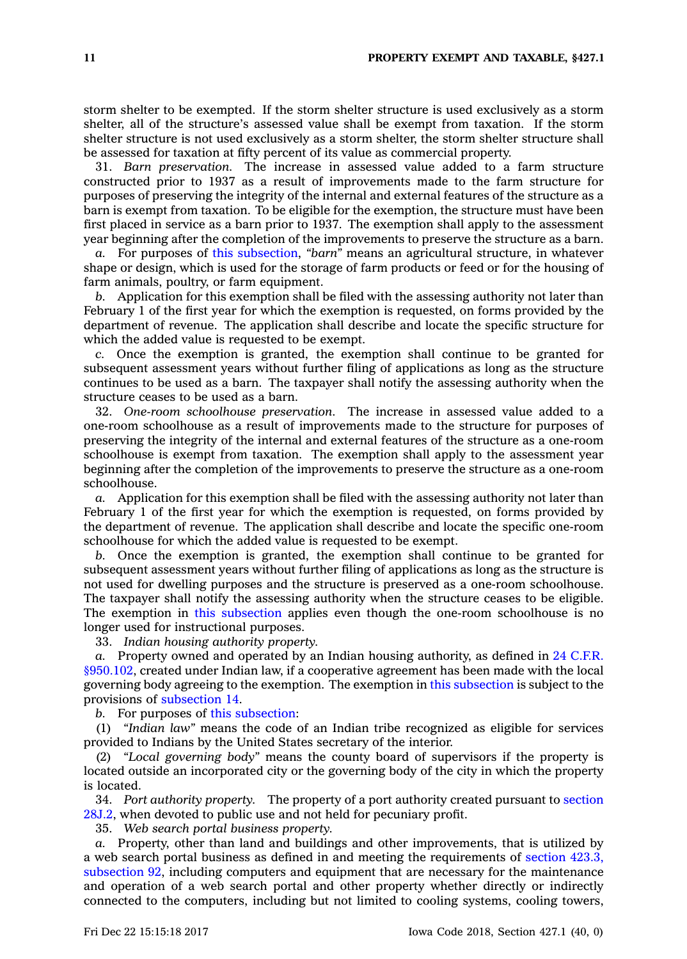storm shelter to be exempted. If the storm shelter structure is used exclusively as <sup>a</sup> storm shelter, all of the structure's assessed value shall be exempt from taxation. If the storm shelter structure is not used exclusively as <sup>a</sup> storm shelter, the storm shelter structure shall be assessed for taxation at fifty percent of its value as commercial property.

31. *Barn preservation.* The increase in assessed value added to <sup>a</sup> farm structure constructed prior to 1937 as <sup>a</sup> result of improvements made to the farm structure for purposes of preserving the integrity of the internal and external features of the structure as <sup>a</sup> barn is exempt from taxation. To be eligible for the exemption, the structure must have been first placed in service as <sup>a</sup> barn prior to 1937. The exemption shall apply to the assessment year beginning after the completion of the improvements to preserve the structure as <sup>a</sup> barn.

*a.* For purposes of this [subsection](https://www.legis.iowa.gov/docs/code/427.1.pdf), *"barn"* means an agricultural structure, in whatever shape or design, which is used for the storage of farm products or feed or for the housing of farm animals, poultry, or farm equipment.

*b.* Application for this exemption shall be filed with the assessing authority not later than February 1 of the first year for which the exemption is requested, on forms provided by the department of revenue. The application shall describe and locate the specific structure for which the added value is requested to be exempt.

*c.* Once the exemption is granted, the exemption shall continue to be granted for subsequent assessment years without further filing of applications as long as the structure continues to be used as <sup>a</sup> barn. The taxpayer shall notify the assessing authority when the structure ceases to be used as <sup>a</sup> barn.

32. *One-room schoolhouse preservation.* The increase in assessed value added to <sup>a</sup> one-room schoolhouse as <sup>a</sup> result of improvements made to the structure for purposes of preserving the integrity of the internal and external features of the structure as <sup>a</sup> one-room schoolhouse is exempt from taxation. The exemption shall apply to the assessment year beginning after the completion of the improvements to preserve the structure as <sup>a</sup> one-room schoolhouse.

*a.* Application for this exemption shall be filed with the assessing authority not later than February 1 of the first year for which the exemption is requested, on forms provided by the department of revenue. The application shall describe and locate the specific one-room schoolhouse for which the added value is requested to be exempt.

*b.* Once the exemption is granted, the exemption shall continue to be granted for subsequent assessment years without further filing of applications as long as the structure is not used for dwelling purposes and the structure is preserved as <sup>a</sup> one-room schoolhouse. The taxpayer shall notify the assessing authority when the structure ceases to be eligible. The exemption in this [subsection](https://www.legis.iowa.gov/docs/code/427.1.pdf) applies even though the one-room schoolhouse is no longer used for instructional purposes.

33. *Indian housing authority property.*

*a.* Property owned and operated by an Indian housing authority, as defined in 24 [C.F.R.](https://www.law.cornell.edu/cfr/text/24/950.102) [§950.102](https://www.law.cornell.edu/cfr/text/24/950.102), created under Indian law, if <sup>a</sup> cooperative agreement has been made with the local governing body agreeing to the exemption. The exemption in this [subsection](https://www.legis.iowa.gov/docs/code/427.1.pdf) is subject to the provisions of [subsection](https://www.legis.iowa.gov/docs/code/427.1.pdf) 14.

*b.* For purposes of this [subsection](https://www.legis.iowa.gov/docs/code/427.1.pdf):

(1) *"Indian law"* means the code of an Indian tribe recognized as eligible for services provided to Indians by the United States secretary of the interior.

(2) *"Local governing body"* means the county board of supervisors if the property is located outside an incorporated city or the governing body of the city in which the property is located.

34. *Port authority property.* The property of <sup>a</sup> port authority created pursuant to [section](https://www.legis.iowa.gov/docs/code/28J.2.pdf) [28J.2](https://www.legis.iowa.gov/docs/code/28J.2.pdf), when devoted to public use and not held for pecuniary profit.

35. *Web search portal business property.*

*a.* Property, other than land and buildings and other improvements, that is utilized by <sup>a</sup> web search portal business as defined in and meeting the requirements of section [423.3,](https://www.legis.iowa.gov/docs/code/423.3.pdf) [subsection](https://www.legis.iowa.gov/docs/code/423.3.pdf) 92, including computers and equipment that are necessary for the maintenance and operation of <sup>a</sup> web search portal and other property whether directly or indirectly connected to the computers, including but not limited to cooling systems, cooling towers,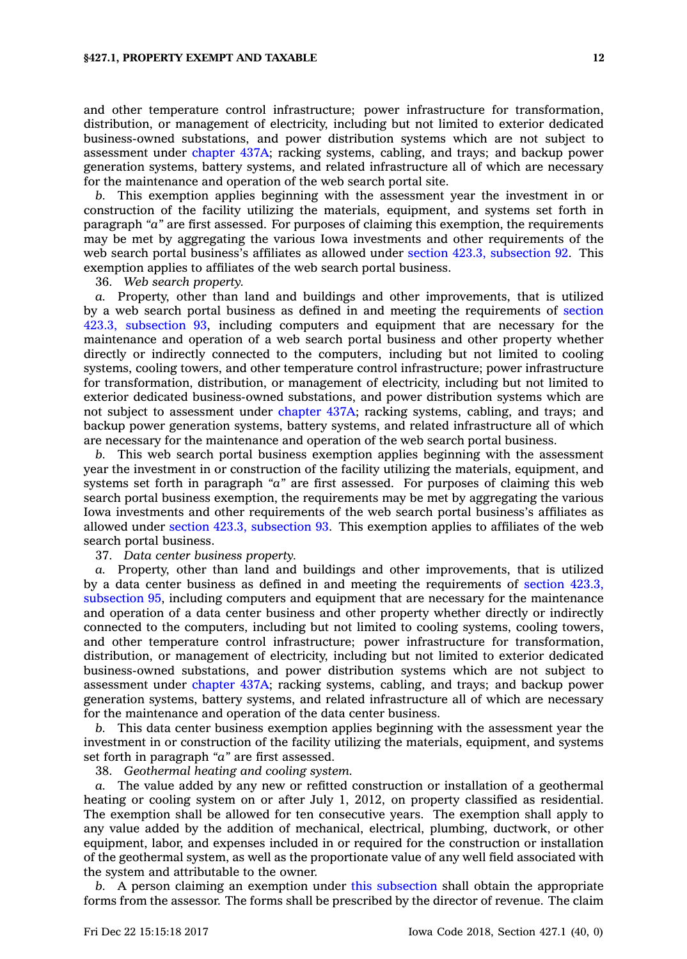and other temperature control infrastructure; power infrastructure for transformation, distribution, or management of electricity, including but not limited to exterior dedicated business-owned substations, and power distribution systems which are not subject to assessment under [chapter](https://www.legis.iowa.gov/docs/code//437A.pdf) 437A; racking systems, cabling, and trays; and backup power generation systems, battery systems, and related infrastructure all of which are necessary for the maintenance and operation of the web search portal site.

*b.* This exemption applies beginning with the assessment year the investment in or construction of the facility utilizing the materials, equipment, and systems set forth in paragraph *"a"* are first assessed. For purposes of claiming this exemption, the requirements may be met by aggregating the various Iowa investments and other requirements of the web search portal business's affiliates as allowed under section 423.3, [subsection](https://www.legis.iowa.gov/docs/code/423.3.pdf) 92. This exemption applies to affiliates of the web search portal business.

36. *Web search property.*

*a.* Property, other than land and buildings and other improvements, that is utilized by <sup>a</sup> web search portal business as defined in and meeting the requirements of [section](https://www.legis.iowa.gov/docs/code/423.3.pdf) 423.3, [subsection](https://www.legis.iowa.gov/docs/code/423.3.pdf) 93, including computers and equipment that are necessary for the maintenance and operation of <sup>a</sup> web search portal business and other property whether directly or indirectly connected to the computers, including but not limited to cooling systems, cooling towers, and other temperature control infrastructure; power infrastructure for transformation, distribution, or management of electricity, including but not limited to exterior dedicated business-owned substations, and power distribution systems which are not subject to assessment under [chapter](https://www.legis.iowa.gov/docs/code//437A.pdf) 437A; racking systems, cabling, and trays; and backup power generation systems, battery systems, and related infrastructure all of which are necessary for the maintenance and operation of the web search portal business.

*b.* This web search portal business exemption applies beginning with the assessment year the investment in or construction of the facility utilizing the materials, equipment, and systems set forth in paragraph *"a"* are first assessed. For purposes of claiming this web search portal business exemption, the requirements may be met by aggregating the various Iowa investments and other requirements of the web search portal business's affiliates as allowed under section 423.3, [subsection](https://www.legis.iowa.gov/docs/code/423.3.pdf) 93. This exemption applies to affiliates of the web search portal business.

37. *Data center business property.*

*a.* Property, other than land and buildings and other improvements, that is utilized by <sup>a</sup> data center business as defined in and meeting the requirements of [section](https://www.legis.iowa.gov/docs/code/423.3.pdf) 423.3, [subsection](https://www.legis.iowa.gov/docs/code/423.3.pdf) 95, including computers and equipment that are necessary for the maintenance and operation of <sup>a</sup> data center business and other property whether directly or indirectly connected to the computers, including but not limited to cooling systems, cooling towers, and other temperature control infrastructure; power infrastructure for transformation, distribution, or management of electricity, including but not limited to exterior dedicated business-owned substations, and power distribution systems which are not subject to assessment under [chapter](https://www.legis.iowa.gov/docs/code//437A.pdf) 437A; racking systems, cabling, and trays; and backup power generation systems, battery systems, and related infrastructure all of which are necessary for the maintenance and operation of the data center business.

*b.* This data center business exemption applies beginning with the assessment year the investment in or construction of the facility utilizing the materials, equipment, and systems set forth in paragraph *"a"* are first assessed.

38. *Geothermal heating and cooling system.*

*a.* The value added by any new or refitted construction or installation of <sup>a</sup> geothermal heating or cooling system on or after July 1, 2012, on property classified as residential. The exemption shall be allowed for ten consecutive years. The exemption shall apply to any value added by the addition of mechanical, electrical, plumbing, ductwork, or other equipment, labor, and expenses included in or required for the construction or installation of the geothermal system, as well as the proportionate value of any well field associated with the system and attributable to the owner.

*b.* A person claiming an exemption under this [subsection](https://www.legis.iowa.gov/docs/code/427.1.pdf) shall obtain the appropriate forms from the assessor. The forms shall be prescribed by the director of revenue. The claim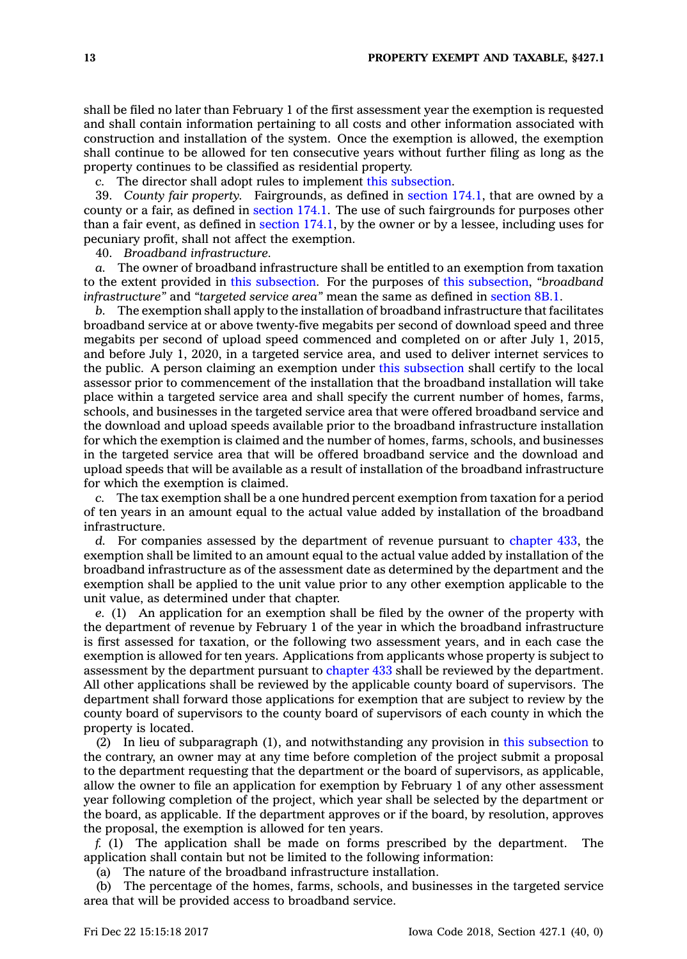shall be filed no later than February 1 of the first assessment year the exemption is requested and shall contain information pertaining to all costs and other information associated with construction and installation of the system. Once the exemption is allowed, the exemption shall continue to be allowed for ten consecutive years without further filing as long as the property continues to be classified as residential property.

*c.* The director shall adopt rules to implement this [subsection](https://www.legis.iowa.gov/docs/code/427.1.pdf).

39. *County fair property.* Fairgrounds, as defined in [section](https://www.legis.iowa.gov/docs/code/174.1.pdf) 174.1, that are owned by <sup>a</sup> county or <sup>a</sup> fair, as defined in [section](https://www.legis.iowa.gov/docs/code/174.1.pdf) 174.1. The use of such fairgrounds for purposes other than <sup>a</sup> fair event, as defined in [section](https://www.legis.iowa.gov/docs/code/174.1.pdf) 174.1, by the owner or by <sup>a</sup> lessee, including uses for pecuniary profit, shall not affect the exemption.

40. *Broadband infrastructure.*

*a.* The owner of broadband infrastructure shall be entitled to an exemption from taxation to the extent provided in this [subsection](https://www.legis.iowa.gov/docs/code/427.1.pdf). For the purposes of this [subsection](https://www.legis.iowa.gov/docs/code/427.1.pdf), *"broadband infrastructure"* and *"targeted service area"* mean the same as defined in [section](https://www.legis.iowa.gov/docs/code/8B.1.pdf) 8B.1.

*b.* The exemption shall apply to the installation of broadband infrastructure that facilitates broadband service at or above twenty-five megabits per second of download speed and three megabits per second of upload speed commenced and completed on or after July 1, 2015, and before July 1, 2020, in <sup>a</sup> targeted service area, and used to deliver internet services to the public. A person claiming an exemption under this [subsection](https://www.legis.iowa.gov/docs/code/427.1.pdf) shall certify to the local assessor prior to commencement of the installation that the broadband installation will take place within <sup>a</sup> targeted service area and shall specify the current number of homes, farms, schools, and businesses in the targeted service area that were offered broadband service and the download and upload speeds available prior to the broadband infrastructure installation for which the exemption is claimed and the number of homes, farms, schools, and businesses in the targeted service area that will be offered broadband service and the download and upload speeds that will be available as <sup>a</sup> result of installation of the broadband infrastructure for which the exemption is claimed.

*c.* The tax exemption shall be <sup>a</sup> one hundred percent exemption from taxation for <sup>a</sup> period of ten years in an amount equal to the actual value added by installation of the broadband infrastructure.

*d.* For companies assessed by the department of revenue pursuant to [chapter](https://www.legis.iowa.gov/docs/code//433.pdf) 433, the exemption shall be limited to an amount equal to the actual value added by installation of the broadband infrastructure as of the assessment date as determined by the department and the exemption shall be applied to the unit value prior to any other exemption applicable to the unit value, as determined under that chapter.

*e.* (1) An application for an exemption shall be filed by the owner of the property with the department of revenue by February 1 of the year in which the broadband infrastructure is first assessed for taxation, or the following two assessment years, and in each case the exemption is allowed for ten years. Applications from applicants whose property is subject to assessment by the department pursuant to [chapter](https://www.legis.iowa.gov/docs/code//433.pdf) 433 shall be reviewed by the department. All other applications shall be reviewed by the applicable county board of supervisors. The department shall forward those applications for exemption that are subject to review by the county board of supervisors to the county board of supervisors of each county in which the property is located.

(2) In lieu of subparagraph (1), and notwithstanding any provision in this [subsection](https://www.legis.iowa.gov/docs/code/427.1.pdf) to the contrary, an owner may at any time before completion of the project submit <sup>a</sup> proposal to the department requesting that the department or the board of supervisors, as applicable, allow the owner to file an application for exemption by February 1 of any other assessment year following completion of the project, which year shall be selected by the department or the board, as applicable. If the department approves or if the board, by resolution, approves the proposal, the exemption is allowed for ten years.

*f.* (1) The application shall be made on forms prescribed by the department. The application shall contain but not be limited to the following information:

(a) The nature of the broadband infrastructure installation.

(b) The percentage of the homes, farms, schools, and businesses in the targeted service area that will be provided access to broadband service.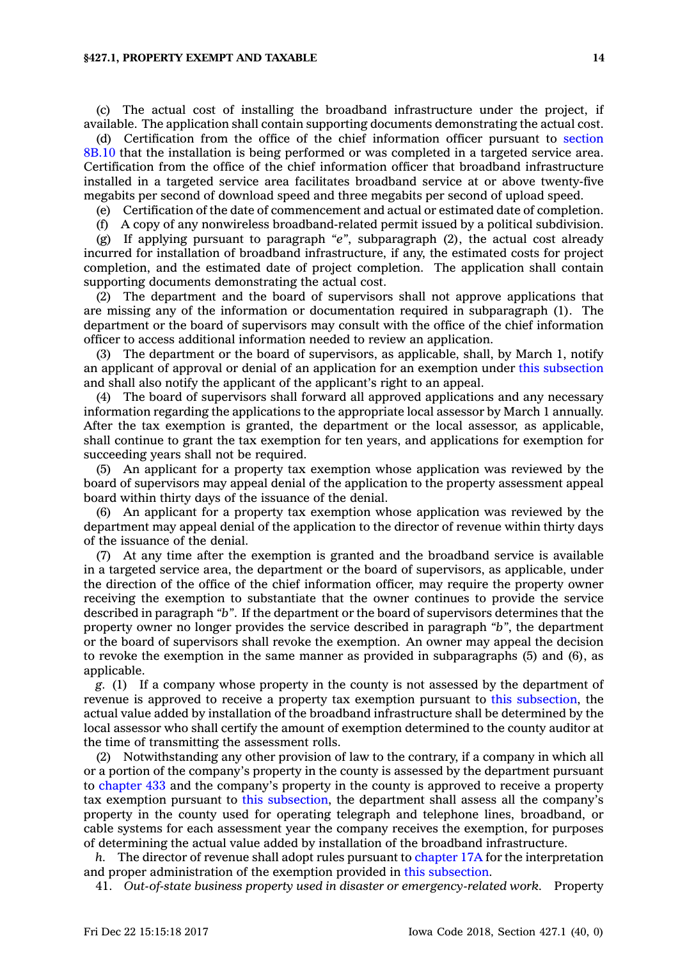(c) The actual cost of installing the broadband infrastructure under the project, if available. The application shall contain supporting documents demonstrating the actual cost.

(d) Certification from the office of the chief information officer pursuant to [section](https://www.legis.iowa.gov/docs/code/8B.10.pdf) [8B.10](https://www.legis.iowa.gov/docs/code/8B.10.pdf) that the installation is being performed or was completed in <sup>a</sup> targeted service area. Certification from the office of the chief information officer that broadband infrastructure installed in <sup>a</sup> targeted service area facilitates broadband service at or above twenty-five megabits per second of download speed and three megabits per second of upload speed.

(e) Certification of the date of commencement and actual or estimated date of completion.

(f) A copy of any nonwireless broadband-related permit issued by <sup>a</sup> political subdivision.

(g) If applying pursuant to paragraph *"e"*, subparagraph (2), the actual cost already incurred for installation of broadband infrastructure, if any, the estimated costs for project completion, and the estimated date of project completion. The application shall contain supporting documents demonstrating the actual cost.

(2) The department and the board of supervisors shall not approve applications that are missing any of the information or documentation required in subparagraph (1). The department or the board of supervisors may consult with the office of the chief information officer to access additional information needed to review an application.

(3) The department or the board of supervisors, as applicable, shall, by March 1, notify an applicant of approval or denial of an application for an exemption under this [subsection](https://www.legis.iowa.gov/docs/code/427.1.pdf) and shall also notify the applicant of the applicant's right to an appeal.

(4) The board of supervisors shall forward all approved applications and any necessary information regarding the applications to the appropriate local assessor by March 1 annually. After the tax exemption is granted, the department or the local assessor, as applicable, shall continue to grant the tax exemption for ten years, and applications for exemption for succeeding years shall not be required.

(5) An applicant for <sup>a</sup> property tax exemption whose application was reviewed by the board of supervisors may appeal denial of the application to the property assessment appeal board within thirty days of the issuance of the denial.

(6) An applicant for <sup>a</sup> property tax exemption whose application was reviewed by the department may appeal denial of the application to the director of revenue within thirty days of the issuance of the denial.

(7) At any time after the exemption is granted and the broadband service is available in <sup>a</sup> targeted service area, the department or the board of supervisors, as applicable, under the direction of the office of the chief information officer, may require the property owner receiving the exemption to substantiate that the owner continues to provide the service described in paragraph *"b"*. If the department or the board of supervisors determines that the property owner no longer provides the service described in paragraph *"b"*, the department or the board of supervisors shall revoke the exemption. An owner may appeal the decision to revoke the exemption in the same manner as provided in subparagraphs (5) and (6), as applicable.

*g.* (1) If <sup>a</sup> company whose property in the county is not assessed by the department of revenue is approved to receive <sup>a</sup> property tax exemption pursuant to this [subsection](https://www.legis.iowa.gov/docs/code/427.1.pdf), the actual value added by installation of the broadband infrastructure shall be determined by the local assessor who shall certify the amount of exemption determined to the county auditor at the time of transmitting the assessment rolls.

(2) Notwithstanding any other provision of law to the contrary, if <sup>a</sup> company in which all or <sup>a</sup> portion of the company's property in the county is assessed by the department pursuant to [chapter](https://www.legis.iowa.gov/docs/code//433.pdf) 433 and the company's property in the county is approved to receive <sup>a</sup> property tax exemption pursuant to this [subsection](https://www.legis.iowa.gov/docs/code/427.1.pdf), the department shall assess all the company's property in the county used for operating telegraph and telephone lines, broadband, or cable systems for each assessment year the company receives the exemption, for purposes of determining the actual value added by installation of the broadband infrastructure.

*h.* The director of revenue shall adopt rules pursuant to [chapter](https://www.legis.iowa.gov/docs/code//17A.pdf) 17A for the interpretation and proper administration of the exemption provided in this [subsection](https://www.legis.iowa.gov/docs/code/427.1.pdf).

41. *Out-of-state business property used in disaster or emergency-related work.* Property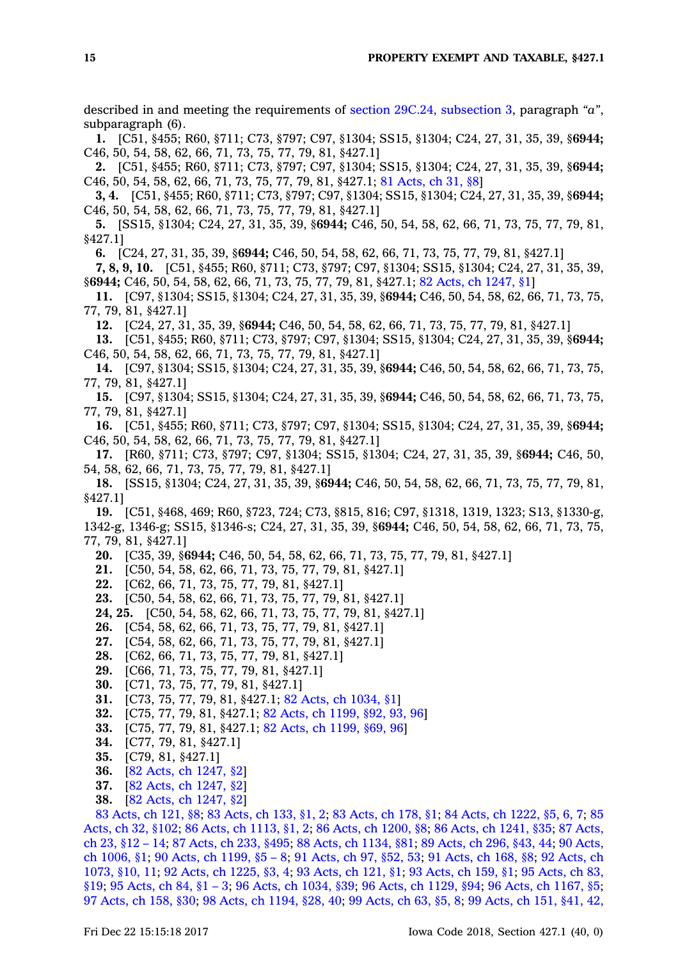described in and meeting the requirements of section 29C.24, [subsection](https://www.legis.iowa.gov/docs/code/29C.24.pdf) 3, paragraph *"a"*, subparagraph (6).

**1.** [C51, §455; R60, §711; C73, §797; C97, §1304; SS15, §1304; C24, 27, 31, 35, 39, §**6944;** C46, 50, 54, 58, 62, 66, 71, 73, 75, 77, 79, 81, §427.1]

**2.** [C51, §455; R60, §711; C73, §797; C97, §1304; SS15, §1304; C24, 27, 31, 35, 39, §**6944;** C46, 50, 54, 58, 62, 66, 71, 73, 75, 77, 79, 81, §427.1; 81 [Acts,](https://www.legis.iowa.gov/docs/acts/1981/CH0031.pdf) ch 31, §8]

**3, 4.** [C51, §455; R60, §711; C73, §797; C97, §1304; SS15, §1304; C24, 27, 31, 35, 39, §**6944;** C46, 50, 54, 58, 62, 66, 71, 73, 75, 77, 79, 81, §427.1]

**5.** [SS15, §1304; C24, 27, 31, 35, 39, §**6944;** C46, 50, 54, 58, 62, 66, 71, 73, 75, 77, 79, 81, §427.1]

**6.** [C24, 27, 31, 35, 39, §**6944;** C46, 50, 54, 58, 62, 66, 71, 73, 75, 77, 79, 81, §427.1]

**7, 8, 9, 10.** [C51, §455; R60, §711; C73, §797; C97, §1304; SS15, §1304; C24, 27, 31, 35, 39, §**6944;** C46, 50, 54, 58, 62, 66, 71, 73, 75, 77, 79, 81, §427.1; 82 Acts, ch [1247,](https://www.legis.iowa.gov/docs/acts/1982/CH1247.pdf) §1]

**11.** [C97, §1304; SS15, §1304; C24, 27, 31, 35, 39, §**6944;** C46, 50, 54, 58, 62, 66, 71, 73, 75, 77, 79, 81, §427.1]

**12.** [C24, 27, 31, 35, 39, §**6944;** C46, 50, 54, 58, 62, 66, 71, 73, 75, 77, 79, 81, §427.1]

**13.** [C51, §455; R60, §711; C73, §797; C97, §1304; SS15, §1304; C24, 27, 31, 35, 39, §**6944;** C46, 50, 54, 58, 62, 66, 71, 73, 75, 77, 79, 81, §427.1]

**14.** [C97, §1304; SS15, §1304; C24, 27, 31, 35, 39, §**6944;** C46, 50, 54, 58, 62, 66, 71, 73, 75, 77, 79, 81, §427.1]

**15.** [C97, §1304; SS15, §1304; C24, 27, 31, 35, 39, §**6944;** C46, 50, 54, 58, 62, 66, 71, 73, 75, 77, 79, 81, §427.1]

**16.** [C51, §455; R60, §711; C73, §797; C97, §1304; SS15, §1304; C24, 27, 31, 35, 39, §**6944;** C46, 50, 54, 58, 62, 66, 71, 73, 75, 77, 79, 81, §427.1]

**17.** [R60, §711; C73, §797; C97, §1304; SS15, §1304; C24, 27, 31, 35, 39, §**6944;** C46, 50, 54, 58, 62, 66, 71, 73, 75, 77, 79, 81, §427.1]

**18.** [SS15, §1304; C24, 27, 31, 35, 39, §**6944;** C46, 50, 54, 58, 62, 66, 71, 73, 75, 77, 79, 81, §427.1]

**19.** [C51, §468, 469; R60, §723, 724; C73, §815, 816; C97, §1318, 1319, 1323; S13, §1330-g, 1342-g, 1346-g; SS15, §1346-s; C24, 27, 31, 35, 39, §**6944;** C46, 50, 54, 58, 62, 66, 71, 73, 75, 77, 79, 81, §427.1]

**20.** [C35, 39, §**6944;** C46, 50, 54, 58, 62, 66, 71, 73, 75, 77, 79, 81, §427.1]

**21.** [C50, 54, 58, 62, 66, 71, 73, 75, 77, 79, 81, §427.1]

**22.** [C62, 66, 71, 73, 75, 77, 79, 81, §427.1]

**23.** [C50, 54, 58, 62, 66, 71, 73, 75, 77, 79, 81, §427.1]

**24, 25.** [C50, 54, 58, 62, 66, 71, 73, 75, 77, 79, 81, §427.1]

**26.** [C54, 58, 62, 66, 71, 73, 75, 77, 79, 81, §427.1]

**27.** [C54, 58, 62, 66, 71, 73, 75, 77, 79, 81, §427.1]

- **28.** [C62, 66, 71, 73, 75, 77, 79, 81, §427.1]
- **29.** [C66, 71, 73, 75, 77, 79, 81, §427.1]
- **30.** [C71, 73, 75, 77, 79, 81, §427.1]

**31.** [C73, 75, 77, 79, 81, §427.1; 82 Acts, ch [1034,](https://www.legis.iowa.gov/docs/acts/1982/CH1034.pdf) §1]

**32.** [C75, 77, 79, 81, §427.1; 82 Acts, ch [1199,](https://www.legis.iowa.gov/docs/acts/1982/CH1199.pdf) §92, 93, 96]

- **33.** [C75, 77, 79, 81, §427.1; 82 Acts, ch [1199,](https://www.legis.iowa.gov/docs/acts/1982/CH1199.pdf) §69, 96]
- **34.** [C77, 79, 81, §427.1]
- **35.** [C79, 81, §427.1]
- **36.** [82 Acts, ch [1247,](https://www.legis.iowa.gov/docs/acts/1982/CH1247.pdf) §2]
- **37.** [82 Acts, ch [1247,](https://www.legis.iowa.gov/docs/acts/1982/CH1247.pdf) §2]
- **38.** [82 Acts, ch [1247,](https://www.legis.iowa.gov/docs/acts/1982/CH1247.pdf) §2]

83 [Acts,](https://www.legis.iowa.gov/docs/acts/83/CH0121.pdf) ch 121, §8; 83 [Acts,](https://www.legis.iowa.gov/docs/acts/83/CH0133.pdf) ch 133, §1, 2; 83 [Acts,](https://www.legis.iowa.gov/docs/acts/83/CH0178.pdf) ch 178, §1; 84 Acts, ch [1222,](https://www.legis.iowa.gov/docs/acts/84/CH1222.pdf) §5, 6, 7; [85](https://www.legis.iowa.gov/docs/acts/85/CH0032.pdf) [Acts,](https://www.legis.iowa.gov/docs/acts/85/CH0032.pdf) ch 32, §102; 86 Acts, ch [1113,](https://www.legis.iowa.gov/docs/acts/86/CH1113.pdf) §1, 2; 86 Acts, ch [1200,](https://www.legis.iowa.gov/docs/acts/86/CH1200.pdf) §8; 86 Acts, ch [1241,](https://www.legis.iowa.gov/docs/acts/86/CH1241.pdf) §35; 87 [Acts,](https://www.legis.iowa.gov/docs/acts/87/CH0023.pdf) ch 23, [§12](https://www.legis.iowa.gov/docs/acts/87/CH0023.pdf) – 14; 87 [Acts,](https://www.legis.iowa.gov/docs/acts/87/CH0233.pdf) ch 233, §495; 88 Acts, ch [1134,](https://www.legis.iowa.gov/docs/acts/88/CH1134.pdf) §81; 89 [Acts,](https://www.legis.iowa.gov/docs/acts/89/CH0296.pdf) ch 296, §43, 44; 90 [Acts,](https://www.legis.iowa.gov/docs/acts/90/CH1006.pdf) ch [1006,](https://www.legis.iowa.gov/docs/acts/90/CH1006.pdf) §1; 90 Acts, ch [1199,](https://www.legis.iowa.gov/docs/acts/90/CH1199.pdf) §5 – 8; 91 [Acts,](https://www.legis.iowa.gov/docs/acts/91/CH0097.pdf) ch 97, §52, 53; 91 [Acts,](https://www.legis.iowa.gov/docs/acts/91/CH0168.pdf) ch 168, §8; 92 [Acts,](https://www.legis.iowa.gov/docs/acts/92/CH1073.pdf) ch [1073,](https://www.legis.iowa.gov/docs/acts/92/CH1073.pdf) §10, 11; 92 Acts, ch [1225,](https://www.legis.iowa.gov/docs/acts/92/CH1225.pdf) §3, 4; 93 [Acts,](https://www.legis.iowa.gov/docs/acts/93/CH0121.pdf) ch 121, §1; 93 [Acts,](https://www.legis.iowa.gov/docs/acts/93/CH0159.pdf) ch 159, §1; 95 [Acts,](https://www.legis.iowa.gov/docs/acts/95/CH0083.pdf) ch 83, [§19](https://www.legis.iowa.gov/docs/acts/95/CH0083.pdf); 95 [Acts,](https://www.legis.iowa.gov/docs/acts/95/CH0084.pdf) ch 84, §1 – 3; 96 Acts, ch [1034,](https://www.legis.iowa.gov/docs/acts/96/CH1034.pdf) §39; 96 Acts, ch [1129,](https://www.legis.iowa.gov/docs/acts/96/CH1129.pdf) §94; 96 Acts, ch [1167,](https://www.legis.iowa.gov/docs/acts/96/CH1167.pdf) §5; 97 [Acts,](https://www.legis.iowa.gov/docs/acts/97/CH0158.pdf) ch 158, §30; 98 Acts, ch [1194,](https://www.legis.iowa.gov/docs/acts/98/CH1194.pdf) §28, 40; 99 [Acts,](https://www.legis.iowa.gov/docs/acts/99/CH0063.pdf) ch 63, §5, 8; 99 [Acts,](https://www.legis.iowa.gov/docs/acts/99/CH0151.pdf) ch 151, §41, 42,